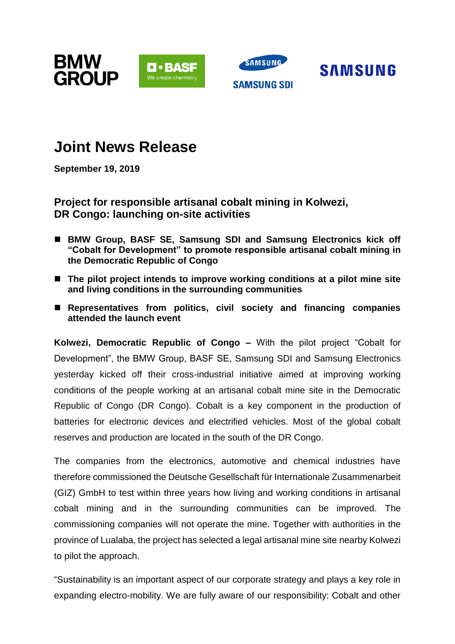





# **Joint News Release**

**September 19, 2019** 

## **Project for responsible artisanal cobalt mining in Kolwezi, DR Congo: launching on-site activities**

- BMW Group, BASF SE, Samsung SDI and Samsung Electronics kick off **"Cobalt for Development" to promote responsible artisanal cobalt mining in the Democratic Republic of Congo**
- The pilot project intends to improve working conditions at a pilot mine site **and living conditions in the surrounding communities**
- Representatives from politics, civil society and financing companies **attended the launch event**

**Kolwezi, Democratic Republic of Congo –** With the pilot project "Cobalt for Development", the BMW Group, BASF SE, Samsung SDI and Samsung Electronics yesterday kicked off their cross-industrial initiative aimed at improving working conditions of the people working at an artisanal cobalt mine site in the Democratic Republic of Congo (DR Congo). Cobalt is a key component in the production of batteries for electronic devices and electrified vehicles. Most of the global cobalt reserves and production are located in the south of the DR Congo.

The companies from the electronics, automotive and chemical industries have therefore commissioned the Deutsche Gesellschaft für Internationale Zusammenarbeit (GIZ) GmbH to test within three years how living and working conditions in artisanal cobalt mining and in the surrounding communities can be improved. The commissioning companies will not operate the mine. Together with authorities in the province of Lualaba, the project has selected a legal artisanal mine site nearby Kolwezi to pilot the approach.

"Sustainability is an important aspect of our corporate strategy and plays a key role in expanding electro-mobility. We are fully aware of our responsibility: Cobalt and other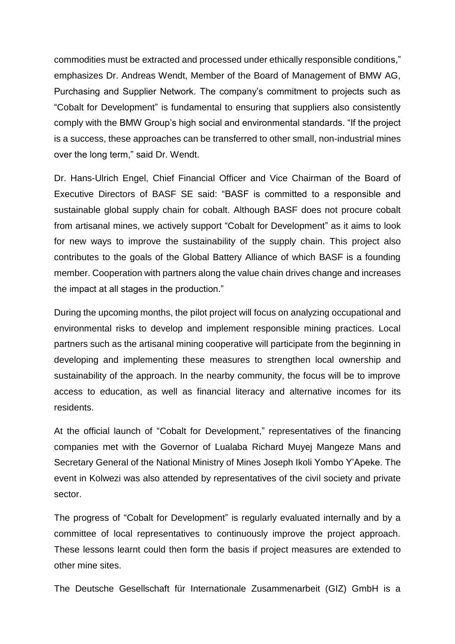commodities must be extracted and processed under ethically responsible conditions," emphasizes Dr. Andreas Wendt, Member of the Board of Management of BMW AG, Purchasing and Supplier Network. The company's commitment to projects such as "Cobalt for Development" is fundamental to ensuring that suppliers also consistently comply with the BMW Group's high social and environmental standards. "If the project is a success, these approaches can be transferred to other small, non-industrial mines over the long term," said Dr. Wendt.

Dr. Hans-Ulrich Engel, Chief Financial Officer and Vice Chairman of the Board of Executive Directors of BASF SE said: "BASF is committed to a responsible and sustainable global supply chain for cobalt. Although BASF does not procure cobalt from artisanal mines, we actively support "Cobalt for Development" as it aims to look for new ways to improve the sustainability of the supply chain. This project also contributes to the goals of the Global Battery Alliance of which BASF is a founding member. Cooperation with partners along the value chain drives change and increases the impact at all stages in the production."

During the upcoming months, the pilot project will focus on analyzing occupational and environmental risks to develop and implement responsible mining practices. Local partners such as the artisanal mining cooperative will participate from the beginning in developing and implementing these measures to strengthen local ownership and sustainability of the approach. In the nearby community, the focus will be to improve access to education, as well as financial literacy and alternative incomes for its residents.

At the official launch of "Cobalt for Development," representatives of the financing companies met with the Governor of Lualaba Richard Muyej Mangeze Mans and Secretary General of the National Ministry of Mines Joseph Ikoli Yombo Y'Apeke. The event in Kolwezi was also attended by representatives of the civil society and private sector.

The progress of "Cobalt for Development" is regularly evaluated internally and by a committee of local representatives to continuously improve the project approach. These lessons learnt could then form the basis if project measures are extended to other mine sites.

The Deutsche Gesellschaft für Internationale Zusammenarbeit (GIZ) GmbH is a